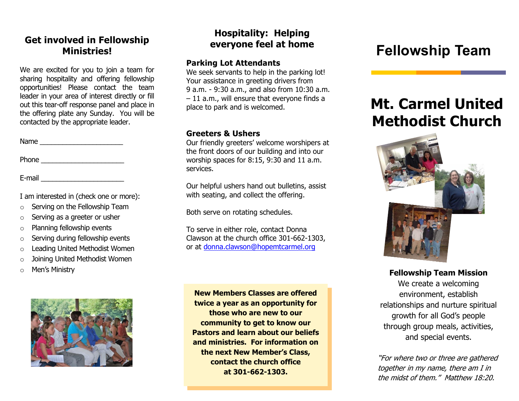# **Get involved in Fellowship**

We are excited for you to join a team for sharing hospitality and offering fellowship opportunities! Please contact the team leader in your area of interest directly or fill out this tear-off response panel and place in the offering plate any Sunday. You will be contacted by the appropriate leader.

Name \_\_\_\_\_\_\_\_\_\_\_\_\_\_\_\_\_\_\_\_\_\_

Phone \_\_\_\_\_\_\_\_\_\_\_\_\_\_\_\_\_\_\_\_\_\_

E-mail \_\_\_\_\_\_\_\_\_\_\_\_\_\_\_\_\_\_\_\_\_\_

I am interested in (check one or more):

- $\circ$  Serving on the Fellowship Team
- o Serving as a greeter or usher
- o Planning fellowship events
- o Serving during fellowship events
- o Leading United Methodist Women
- o Joining United Methodist Women
- Men's Ministry



#### **Hospitality: Helping everyone feel at home**

#### **Parking Lot Attendants**

We seek servants to help in the parking lot! Your assistance in greeting drivers from 9 a.m. - 9:30 a.m., and also from 10:30 a.m. – 11 a.m., will ensure that everyone finds a place to park and is welcomed.

#### **Greeters & Ushers**

Our friendly greeters' welcome worshipers at the front doors of our building and into our worship spaces for 8:15, 9:30 and 11 a.m. services.

Our helpful ushers hand out bulletins, assist with seating, and collect the offering.

Both serve on rotating schedules.

To serve in either role, contact Donna Clawson at the church office 301-662-1303, or at [donna.clawson@hopemtcarmel.org](mailto:donna.clawson@hopemtcarmel.org)

**New Members Classes are offered twice a year as an opportunity for those who are new to our community to get to know our Pastors and learn about our beliefs and ministries. For information on the next New Member's Class, contact the church office at 301-662-1303.**

## **Ministries! Fellowship Team**

## **Mt. Carmel United Methodist Church**



**Fellowship Team Mission**

We create a welcoming environment, establish relationships and nurture spiritual growth for all God's people through group meals, activities, and special events.

"For where two or three are gathered together in my name, there am I in the midst of them." Matthew 18:20.